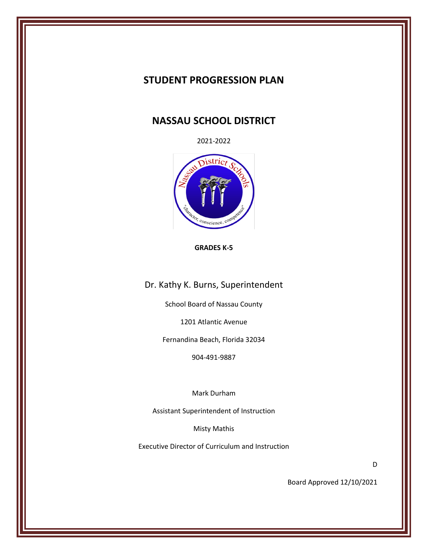# **STUDENT PROGRESSION PLAN**

# **NASSAU SCHOOL DISTRICT**

2021-2022



#### **GRADES K-5**

Dr. Kathy K. Burns, Superintendent

School Board of Nassau County

1201 Atlantic Avenue

Fernandina Beach, Florida 32034

904-491-9887

Mark Durham

Assistant Superintendent of Instruction

Misty Mathis

Executive Director of Curriculum and Instruction

D

Board Approved 12/10/2021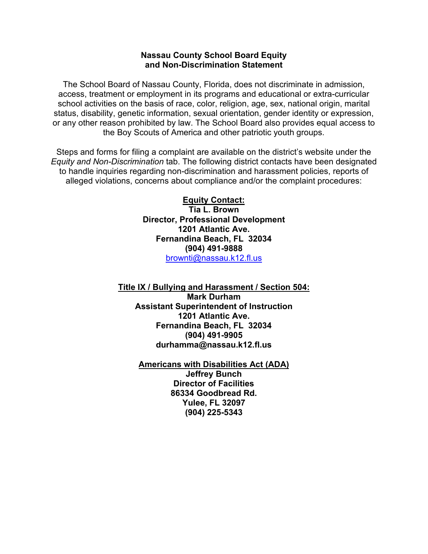### **Nassau County School Board Equity and Non-Discrimination Statement**

The School Board of Nassau County, Florida, does not discriminate in admission, access, treatment or employment in its programs and educational or extra-curricular school activities on the basis of race, color, religion, age, sex, national origin, marital status, disability, genetic information, sexual orientation, gender identity or expression, or any other reason prohibited by law. The School Board also provides equal access to the Boy Scouts of America and other patriotic youth groups.

Steps and forms for filing a complaint are available on the district's website under the *Equity and Non-Discrimination* tab. The following district contacts have been designated to handle inquiries regarding non-discrimination and harassment policies, reports of alleged violations, concerns about compliance and/or the complaint procedures:

> **Equity Contact: Tia L. Brown Director, Professional Development 1201 Atlantic Ave. Fernandina Beach, FL 32034 (904) 491-9888** [brownti@nassau.k12.fl.us](mailto:brownti@nassau.k12.fl.us)

**Title IX / Bullying and Harassment / Section 504: Mark Durham Assistant Superintendent of Instruction 1201 Atlantic Ave. Fernandina Beach, FL 32034 (904) 491-9905 durhamma@nassau.k12.fl.us**

> **Americans with Disabilities Act (ADA) Jeffrey Bunch Director of Facilities 86334 Goodbread Rd. Yulee, FL 32097 (904) 225-5343**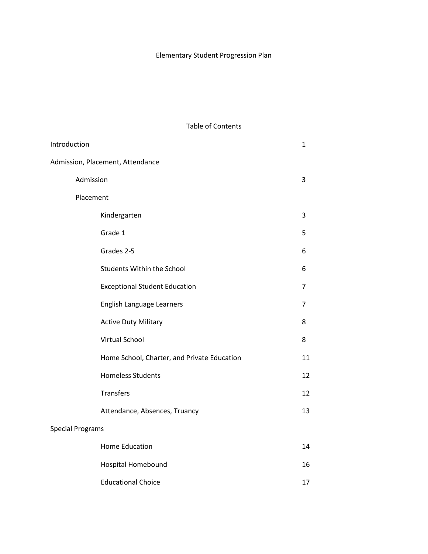# Elementary Student Progression Plan

Table of Contents

| Introduction            |                                             | $\mathbf{1}$ |
|-------------------------|---------------------------------------------|--------------|
|                         | Admission, Placement, Attendance            |              |
|                         | Admission                                   | 3            |
|                         | Placement                                   |              |
|                         | Kindergarten                                | 3            |
|                         | Grade 1                                     | 5            |
|                         | Grades 2-5                                  | 6            |
|                         | <b>Students Within the School</b>           | 6            |
|                         | <b>Exceptional Student Education</b>        | 7            |
|                         | English Language Learners                   | 7            |
|                         | <b>Active Duty Military</b>                 | 8            |
|                         | <b>Virtual School</b>                       | 8            |
|                         | Home School, Charter, and Private Education | 11           |
|                         | <b>Homeless Students</b>                    | 12           |
|                         | Transfers                                   | 12           |
|                         | Attendance, Absences, Truancy               | 13           |
| <b>Special Programs</b> |                                             |              |
|                         | <b>Home Education</b>                       | 14           |
|                         | Hospital Homebound                          | 16           |
|                         | <b>Educational Choice</b>                   | 17           |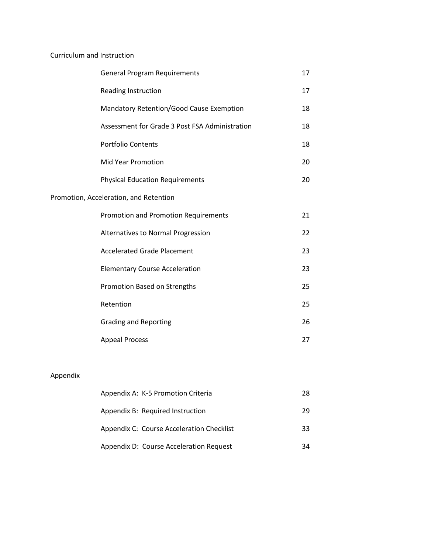# Curriculum and Instruction

| <b>General Program Requirements</b>            | 17 |
|------------------------------------------------|----|
| Reading Instruction                            | 17 |
| Mandatory Retention/Good Cause Exemption       | 18 |
| Assessment for Grade 3 Post FSA Administration | 18 |
| Portfolio Contents                             | 18 |
| <b>Mid Year Promotion</b>                      | 20 |
| <b>Physical Education Requirements</b>         | 20 |
| Promotion, Acceleration, and Retention         |    |
| Promotion and Promotion Requirements           | 21 |
| Alternatives to Normal Progression             | 22 |
| <b>Accelerated Grade Placement</b>             | 23 |
| <b>Elementary Course Acceleration</b>          | 23 |
| Promotion Based on Strengths                   | 25 |
| Retention                                      | 25 |
| <b>Grading and Reporting</b>                   | 26 |
| <b>Appeal Process</b>                          | 27 |

# Appendix

| Appendix A: K-5 Promotion Criteria        | 28 |
|-------------------------------------------|----|
| Appendix B: Required Instruction          | 29 |
| Appendix C: Course Acceleration Checklist | 33 |
| Appendix D: Course Acceleration Request   | 34 |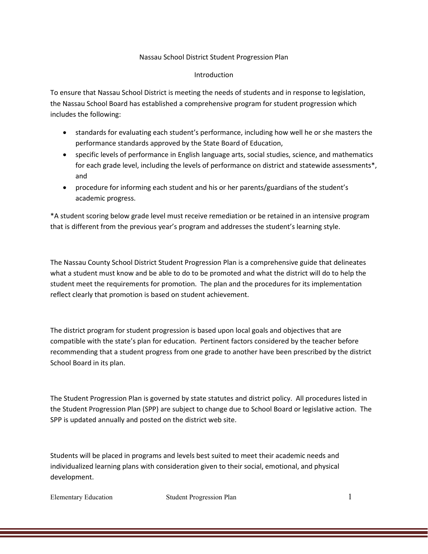### Nassau School District Student Progression Plan

#### Introduction

To ensure that Nassau School District is meeting the needs of students and in response to legislation, the Nassau School Board has established a comprehensive program for student progression which includes the following:

- standards for evaluating each student's performance, including how well he or she masters the performance standards approved by the State Board of Education,
- specific levels of performance in English language arts, social studies, science, and mathematics for each grade level, including the levels of performance on district and statewide assessments\*, and
- procedure for informing each student and his or her parents/guardians of the student's academic progress.

\*A student scoring below grade level must receive remediation or be retained in an intensive program that is different from the previous year's program and addresses the student's learning style.

The Nassau County School District Student Progression Plan is a comprehensive guide that delineates what a student must know and be able to do to be promoted and what the district will do to help the student meet the requirements for promotion. The plan and the procedures for its implementation reflect clearly that promotion is based on student achievement.

The district program for student progression is based upon local goals and objectives that are compatible with the state's plan for education. Pertinent factors considered by the teacher before recommending that a student progress from one grade to another have been prescribed by the district School Board in its plan.

The Student Progression Plan is governed by state statutes and district policy. All procedures listed in the Student Progression Plan (SPP) are subject to change due to School Board or legislative action. The SPP is updated annually and posted on the district web site.

Students will be placed in programs and levels best suited to meet their academic needs and individualized learning plans with consideration given to their social, emotional, and physical development.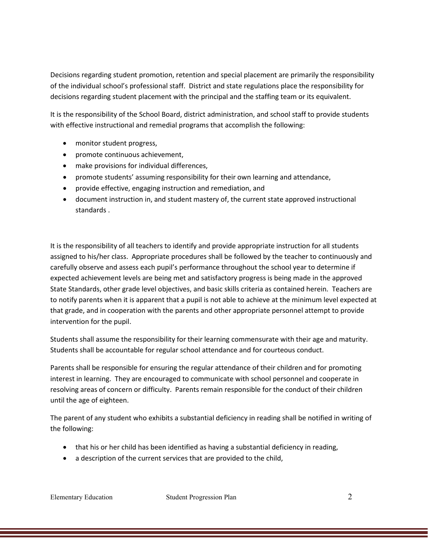Decisions regarding student promotion, retention and special placement are primarily the responsibility of the individual school's professional staff. District and state regulations place the responsibility for decisions regarding student placement with the principal and the staffing team or its equivalent.

It is the responsibility of the School Board, district administration, and school staff to provide students with effective instructional and remedial programs that accomplish the following:

- monitor student progress,
- promote continuous achievement,
- make provisions for individual differences,
- promote students' assuming responsibility for their own learning and attendance,
- provide effective, engaging instruction and remediation, and
- document instruction in, and student mastery of, the current state approved instructional standards .

It is the responsibility of all teachers to identify and provide appropriate instruction for all students assigned to his/her class. Appropriate procedures shall be followed by the teacher to continuously and carefully observe and assess each pupil's performance throughout the school year to determine if expected achievement levels are being met and satisfactory progress is being made in the approved State Standards, other grade level objectives, and basic skills criteria as contained herein. Teachers are to notify parents when it is apparent that a pupil is not able to achieve at the minimum level expected at that grade, and in cooperation with the parents and other appropriate personnel attempt to provide intervention for the pupil.

Students shall assume the responsibility for their learning commensurate with their age and maturity. Students shall be accountable for regular school attendance and for courteous conduct.

Parents shall be responsible for ensuring the regular attendance of their children and for promoting interest in learning. They are encouraged to communicate with school personnel and cooperate in resolving areas of concern or difficulty. Parents remain responsible for the conduct of their children until the age of eighteen.

The parent of any student who exhibits a substantial deficiency in reading shall be notified in writing of the following:

- that his or her child has been identified as having a substantial deficiency in reading,
- a description of the current services that are provided to the child,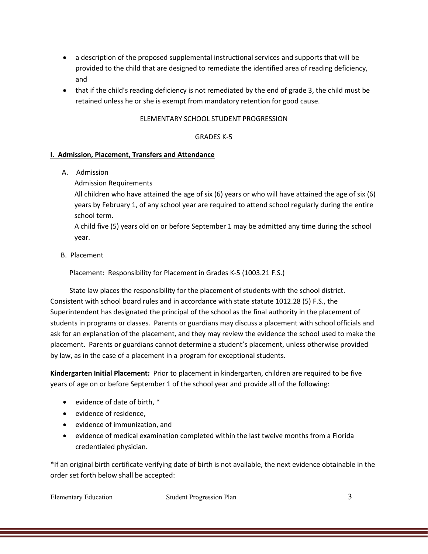- a description of the proposed supplemental instructional services and supports that will be provided to the child that are designed to remediate the identified area of reading deficiency, and
- that if the child's reading deficiency is not remediated by the end of grade 3, the child must be retained unless he or she is exempt from mandatory retention for good cause.

### ELEMENTARY SCHOOL STUDENT PROGRESSION

### GRADES K-5

### **I. Admission, Placement, Transfers and Attendance**

A. Admission

Admission Requirements

All children who have attained the age of six (6) years or who will have attained the age of six (6) years by February 1, of any school year are required to attend school regularly during the entire school term.

A child five (5) years old on or before September 1 may be admitted any time during the school year.

B. Placement

Placement: Responsibility for Placement in Grades K-5 (1003.21 F.S.)

 State law places the responsibility for the placement of students with the school district. Consistent with school board rules and in accordance with state statute 1012.28 (5) F.S., the Superintendent has designated the principal of the school as the final authority in the placement of students in programs or classes. Parents or guardians may discuss a placement with school officials and ask for an explanation of the placement, and they may review the evidence the school used to make the placement. Parents or guardians cannot determine a student's placement, unless otherwise provided by law, as in the case of a placement in a program for exceptional students.

**Kindergarten Initial Placement:** Prior to placement in kindergarten, children are required to be five years of age on or before September 1 of the school year and provide all of the following:

- evidence of date of birth, \*
- evidence of residence,
- evidence of immunization, and
- evidence of medical examination completed within the last twelve months from a Florida credentialed physician.

\*If an original birth certificate verifying date of birth is not available, the next evidence obtainable in the order set forth below shall be accepted: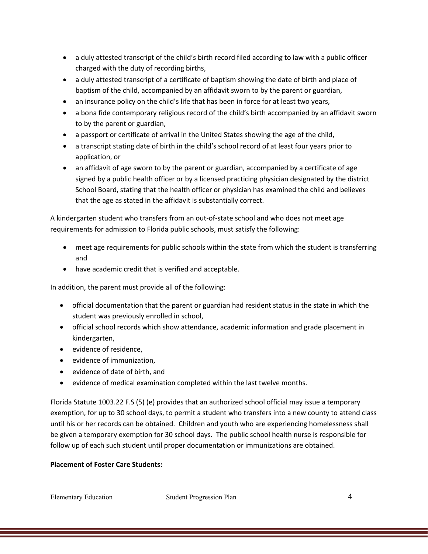- a duly attested transcript of the child's birth record filed according to law with a public officer charged with the duty of recording births,
- a duly attested transcript of a certificate of baptism showing the date of birth and place of baptism of the child, accompanied by an affidavit sworn to by the parent or guardian,
- an insurance policy on the child's life that has been in force for at least two years,
- a bona fide contemporary religious record of the child's birth accompanied by an affidavit sworn to by the parent or guardian,
- a passport or certificate of arrival in the United States showing the age of the child,
- a transcript stating date of birth in the child's school record of at least four years prior to application, or
- an affidavit of age sworn to by the parent or guardian, accompanied by a certificate of age signed by a public health officer or by a licensed practicing physician designated by the district School Board, stating that the health officer or physician has examined the child and believes that the age as stated in the affidavit is substantially correct.

A kindergarten student who transfers from an out-of-state school and who does not meet age requirements for admission to Florida public schools, must satisfy the following:

- meet age requirements for public schools within the state from which the student is transferring and
- have academic credit that is verified and acceptable.

In addition, the parent must provide all of the following:

- official documentation that the parent or guardian had resident status in the state in which the student was previously enrolled in school,
- official school records which show attendance, academic information and grade placement in kindergarten,
- evidence of residence,
- evidence of immunization,
- evidence of date of birth, and
- evidence of medical examination completed within the last twelve months.

Florida Statute 1003.22 F.S (5) (e) provides that an authorized school official may issue a temporary exemption, for up to 30 school days, to permit a student who transfers into a new county to attend class until his or her records can be obtained. Children and youth who are experiencing homelessness shall be given a temporary exemption for 30 school days. The public school health nurse is responsible for follow up of each such student until proper documentation or immunizations are obtained.

### **Placement of Foster Care Students:**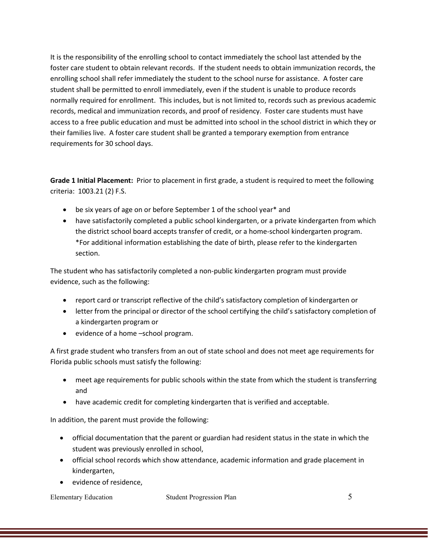It is the responsibility of the enrolling school to contact immediately the school last attended by the foster care student to obtain relevant records. If the student needs to obtain immunization records, the enrolling school shall refer immediately the student to the school nurse for assistance. A foster care student shall be permitted to enroll immediately, even if the student is unable to produce records normally required for enrollment. This includes, but is not limited to, records such as previous academic records, medical and immunization records, and proof of residency. Foster care students must have access to a free public education and must be admitted into school in the school district in which they or their families live. A foster care student shall be granted a temporary exemption from entrance requirements for 30 school days.

**Grade 1 Initial Placement:** Prior to placement in first grade, a student is required to meet the following criteria: 1003.21 (2) F.S.

- be six years of age on or before September 1 of the school year\* and
- have satisfactorily completed a public school kindergarten, or a private kindergarten from which the district school board accepts transfer of credit, or a home-school kindergarten program. \*For additional information establishing the date of birth, please refer to the kindergarten section.

The student who has satisfactorily completed a non-public kindergarten program must provide evidence, such as the following:

- report card or transcript reflective of the child's satisfactory completion of kindergarten or
- letter from the principal or director of the school certifying the child's satisfactory completion of a kindergarten program or
- evidence of a home –school program.

A first grade student who transfers from an out of state school and does not meet age requirements for Florida public schools must satisfy the following:

- meet age requirements for public schools within the state from which the student is transferring and
- have academic credit for completing kindergarten that is verified and acceptable.

In addition, the parent must provide the following:

- official documentation that the parent or guardian had resident status in the state in which the student was previously enrolled in school,
- official school records which show attendance, academic information and grade placement in kindergarten,
- evidence of residence,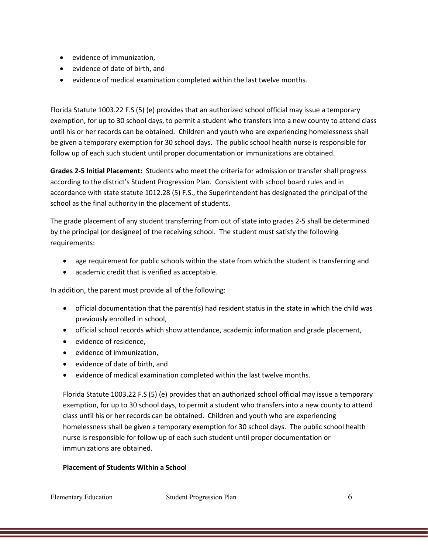- evidence of immunization,
- evidence of date of birth, and
- evidence of medical examination completed within the last twelve months.

Florida Statute 1003.22 F.S (5) (e) provides that an authorized school official may issue a temporary exemption, for up to 30 school days, to permit a student who transfers into a new county to attend class until his or her records can be obtained. Children and youth who are experiencing homelessness shall be given a temporary exemption for 30 school days. The public school health nurse is responsible for follow up of each such student until proper documentation or immunizations are obtained.

**Grades 2-5 Initial Placement:** Students who meet the criteria for admission or transfer shall progress according to the district's Student Progression Plan. Consistent with school board rules and in accordance with state statute 1012.28 (5) F.S., the Superintendent has designated the principal of the school as the final authority in the placement of students.

The grade placement of any student transferring from out of state into grades 2-5 shall be determined by the principal (or designee) of the receiving school. The student must satisfy the following requirements:

- age requirement for public schools within the state from which the student is transferring and
- academic credit that is verified as acceptable.

In addition, the parent must provide all of the following:

- official documentation that the parent(s) had resident status in the state in which the child was previously enrolled in school,
- official school records which show attendance, academic information and grade placement,
- evidence of residence,
- evidence of immunization,
- evidence of date of birth, and
- evidence of medical examination completed within the last twelve months.

Florida Statute 1003.22 F.S (5) (e) provides that an authorized school official may issue a temporary exemption, for up to 30 school days, to permit a student who transfers into a new county to attend class until his or her records can be obtained. Children and youth who are experiencing homelessness shall be given a temporary exemption for 30 school days. The public school health nurse is responsible for follow up of each such student until proper documentation or immunizations are obtained.

## **Placement of Students Within a School**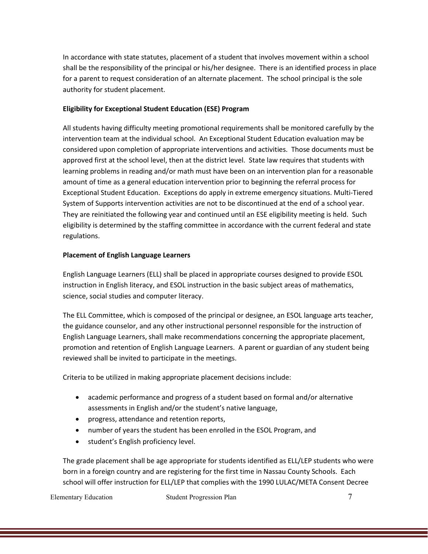In accordance with state statutes, placement of a student that involves movement within a school shall be the responsibility of the principal or his/her designee. There is an identified process in place for a parent to request consideration of an alternate placement. The school principal is the sole authority for student placement.

### **Eligibility for Exceptional Student Education (ESE) Program**

All students having difficulty meeting promotional requirements shall be monitored carefully by the intervention team at the individual school. An Exceptional Student Education evaluation may be considered upon completion of appropriate interventions and activities. Those documents must be approved first at the school level, then at the district level. State law requires that students with learning problems in reading and/or math must have been on an intervention plan for a reasonable amount of time as a general education intervention prior to beginning the referral process for Exceptional Student Education. Exceptions do apply in extreme emergency situations. Multi-Tiered System of Supports intervention activities are not to be discontinued at the end of a school year. They are reinitiated the following year and continued until an ESE eligibility meeting is held. Such eligibility is determined by the staffing committee in accordance with the current federal and state regulations.

### **Placement of English Language Learners**

English Language Learners (ELL) shall be placed in appropriate courses designed to provide ESOL instruction in English literacy, and ESOL instruction in the basic subject areas of mathematics, science, social studies and computer literacy.

The ELL Committee, which is composed of the principal or designee, an ESOL language arts teacher, the guidance counselor, and any other instructional personnel responsible for the instruction of English Language Learners, shall make recommendations concerning the appropriate placement, promotion and retention of English Language Learners. A parent or guardian of any student being reviewed shall be invited to participate in the meetings.

Criteria to be utilized in making appropriate placement decisions include:

- academic performance and progress of a student based on formal and/or alternative assessments in English and/or the student's native language,
- progress, attendance and retention reports,
- number of years the student has been enrolled in the ESOL Program, and
- student's English proficiency level.

The grade placement shall be age appropriate for students identified as ELL/LEP students who were born in a foreign country and are registering for the first time in Nassau County Schools. Each school will offer instruction for ELL/LEP that complies with the 1990 LULAC/META Consent Decree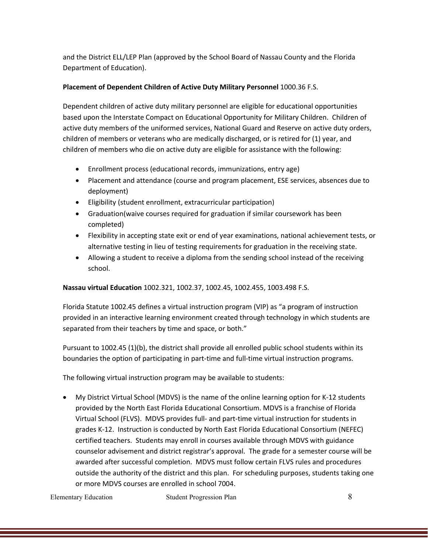and the District ELL/LEP Plan (approved by the School Board of Nassau County and the Florida Department of Education).

### **Placement of Dependent Children of Active Duty Military Personnel** 1000.36 F.S.

Dependent children of active duty military personnel are eligible for educational opportunities based upon the Interstate Compact on Educational Opportunity for Military Children. Children of active duty members of the uniformed services, National Guard and Reserve on active duty orders, children of members or veterans who are medically discharged, or is retired for (1) year, and children of members who die on active duty are eligible for assistance with the following:

- Enrollment process (educational records, immunizations, entry age)
- Placement and attendance (course and program placement, ESE services, absences due to deployment)
- Eligibility (student enrollment, extracurricular participation)
- Graduation(waive courses required for graduation if similar coursework has been completed)
- Flexibility in accepting state exit or end of year examinations, national achievement tests, or alternative testing in lieu of testing requirements for graduation in the receiving state.
- Allowing a student to receive a diploma from the sending school instead of the receiving school.

### **Nassau virtual Education** 1002.321, 1002.37, 1002.45, 1002.455, 1003.498 F.S.

Florida Statute 1002.45 defines a virtual instruction program (VIP) as "a program of instruction provided in an interactive learning environment created through technology in which students are separated from their teachers by time and space, or both."

Pursuant to 1002.45 (1)(b), the district shall provide all enrolled public school students within its boundaries the option of participating in part-time and full-time virtual instruction programs.

The following virtual instruction program may be available to students:

• My District Virtual School (MDVS) is the name of the online learning option for K-12 students provided by the North East Florida Educational Consortium. MDVS is a franchise of Florida Virtual School (FLVS). MDVS provides full- and part-time virtual instruction for students in grades K-12. Instruction is conducted by North East Florida Educational Consortium (NEFEC) certified teachers. Students may enroll in courses available through MDVS with guidance counselor advisement and district registrar's approval. The grade for a semester course will be awarded after successful completion. MDVS must follow certain FLVS rules and procedures outside the authority of the district and this plan. For scheduling purposes, students taking one or more MDVS courses are enrolled in school 7004.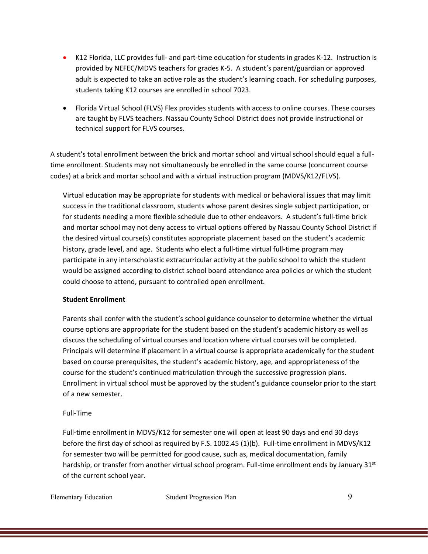- K12 Florida, LLC provides full- and part-time education for students in grades K-12. Instruction is provided by NEFEC/MDVS teachers for grades K-5. A student's parent/guardian or approved adult is expected to take an active role as the student's learning coach. For scheduling purposes, students taking K12 courses are enrolled in school 7023.
- Florida Virtual School (FLVS) Flex provides students with access to online courses. These courses are taught by FLVS teachers. Nassau County School District does not provide instructional or technical support for FLVS courses.

A student's total enrollment between the brick and mortar school and virtual school should equal a fulltime enrollment. Students may not simultaneously be enrolled in the same course (concurrent course codes) at a brick and mortar school and with a virtual instruction program (MDVS/K12/FLVS).

Virtual education may be appropriate for students with medical or behavioral issues that may limit success in the traditional classroom, students whose parent desires single subject participation, or for students needing a more flexible schedule due to other endeavors. A student's full-time brick and mortar school may not deny access to virtual options offered by Nassau County School District if the desired virtual course(s) constitutes appropriate placement based on the student's academic history, grade level, and age. Students who elect a full-time virtual full-time program may participate in any interscholastic extracurricular activity at the public school to which the student would be assigned according to district school board attendance area policies or which the student could choose to attend, pursuant to controlled open enrollment.

## **Student Enrollment**

Parents shall confer with the student's school guidance counselor to determine whether the virtual course options are appropriate for the student based on the student's academic history as well as discuss the scheduling of virtual courses and location where virtual courses will be completed. Principals will determine if placement in a virtual course is appropriate academically for the student based on course prerequisites, the student's academic history, age, and appropriateness of the course for the student's continued matriculation through the successive progression plans. Enrollment in virtual school must be approved by the student's guidance counselor prior to the start of a new semester.

### Full-Time

Full-time enrollment in MDVS/K12 for semester one will open at least 90 days and end 30 days before the first day of school as required by F.S. 1002.45 (1)(b). Full-time enrollment in MDVS/K12 for semester two will be permitted for good cause, such as, medical documentation, family hardship, or transfer from another virtual school program. Full-time enrollment ends by January 31st of the current school year.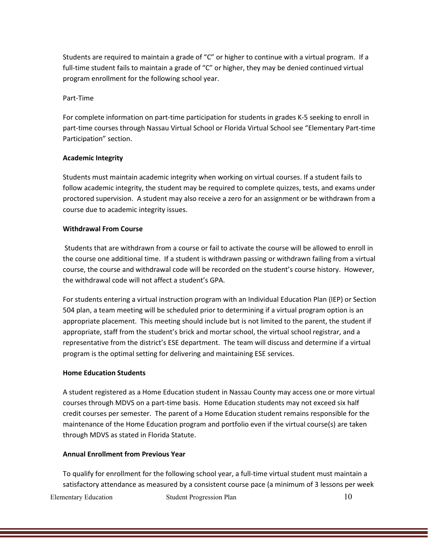Students are required to maintain a grade of "C" or higher to continue with a virtual program. If a full-time student fails to maintain a grade of "C" or higher, they may be denied continued virtual program enrollment for the following school year.

#### Part-Time

For complete information on part-time participation for students in grades K-5 seeking to enroll in part-time courses through Nassau Virtual School or Florida Virtual School see "Elementary Part-time Participation" section.

#### **Academic Integrity**

Students must maintain academic integrity when working on virtual courses. If a student fails to follow academic integrity, the student may be required to complete quizzes, tests, and exams under proctored supervision. A student may also receive a zero for an assignment or be withdrawn from a course due to academic integrity issues.

#### **Withdrawal From Course**

Students that are withdrawn from a course or fail to activate the course will be allowed to enroll in the course one additional time. If a student is withdrawn passing or withdrawn failing from a virtual course, the course and withdrawal code will be recorded on the student's course history. However, the withdrawal code will not affect a student's GPA.

For students entering a virtual instruction program with an Individual Education Plan (IEP) or Section 504 plan, a team meeting will be scheduled prior to determining if a virtual program option is an appropriate placement. This meeting should include but is not limited to the parent, the student if appropriate, staff from the student's brick and mortar school, the virtual school registrar, and a representative from the district's ESE department. The team will discuss and determine if a virtual program is the optimal setting for delivering and maintaining ESE services.

#### **Home Education Students**

A student registered as a Home Education student in Nassau County may access one or more virtual courses through MDVS on a part-time basis. Home Education students may not exceed six half credit courses per semester. The parent of a Home Education student remains responsible for the maintenance of the Home Education program and portfolio even if the virtual course(s) are taken through MDVS as stated in Florida Statute.

#### **Annual Enrollment from Previous Year**

To qualify for enrollment for the following school year, a full-time virtual student must maintain a satisfactory attendance as measured by a consistent course pace (a minimum of 3 lessons per week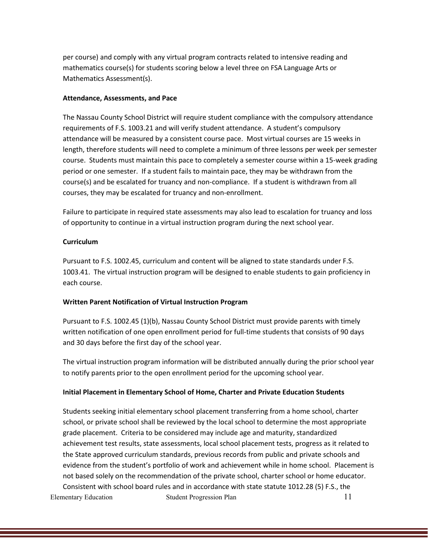per course) and comply with any virtual program contracts related to intensive reading and mathematics course(s) for students scoring below a level three on FSA Language Arts or Mathematics Assessment(s).

### **Attendance, Assessments, and Pace**

The Nassau County School District will require student compliance with the compulsory attendance requirements of F.S. 1003.21 and will verify student attendance. A student's compulsory attendance will be measured by a consistent course pace. Most virtual courses are 15 weeks in length, therefore students will need to complete a minimum of three lessons per week per semester course. Students must maintain this pace to completely a semester course within a 15-week grading period or one semester. If a student fails to maintain pace, they may be withdrawn from the course(s) and be escalated for truancy and non-compliance. If a student is withdrawn from all courses, they may be escalated for truancy and non-enrollment.

Failure to participate in required state assessments may also lead to escalation for truancy and loss of opportunity to continue in a virtual instruction program during the next school year.

### **Curriculum**

Pursuant to F.S. 1002.45, curriculum and content will be aligned to state standards under F.S. 1003.41. The virtual instruction program will be designed to enable students to gain proficiency in each course.

### **Written Parent Notification of Virtual Instruction Program**

Pursuant to F.S. 1002.45 (1)(b), Nassau County School District must provide parents with timely written notification of one open enrollment period for full-time students that consists of 90 days and 30 days before the first day of the school year.

The virtual instruction program information will be distributed annually during the prior school year to notify parents prior to the open enrollment period for the upcoming school year.

### **Initial Placement in Elementary School of Home, Charter and Private Education Students**

Elementary Education Student Progression Plan 11 Students seeking initial elementary school placement transferring from a home school, charter school, or private school shall be reviewed by the local school to determine the most appropriate grade placement. Criteria to be considered may include age and maturity, standardized achievement test results, state assessments, local school placement tests, progress as it related to the State approved curriculum standards, previous records from public and private schools and evidence from the student's portfolio of work and achievement while in home school. Placement is not based solely on the recommendation of the private school, charter school or home educator. Consistent with school board rules and in accordance with state statute 1012.28 (5) F.S., the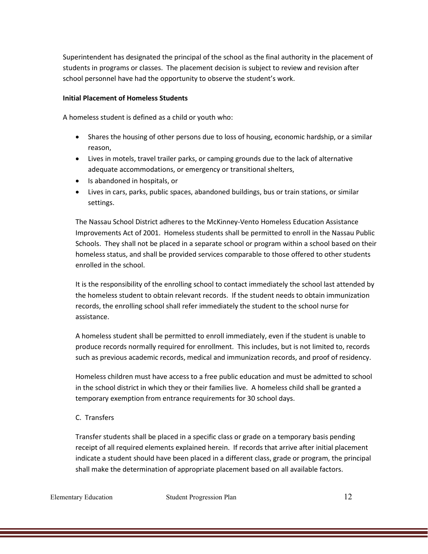Superintendent has designated the principal of the school as the final authority in the placement of students in programs or classes. The placement decision is subject to review and revision after school personnel have had the opportunity to observe the student's work.

### **Initial Placement of Homeless Students**

A homeless student is defined as a child or youth who:

- Shares the housing of other persons due to loss of housing, economic hardship, or a similar reason,
- Lives in motels, travel trailer parks, or camping grounds due to the lack of alternative adequate accommodations, or emergency or transitional shelters,
- Is abandoned in hospitals, or
- Lives in cars, parks, public spaces, abandoned buildings, bus or train stations, or similar settings.

The Nassau School District adheres to the McKinney-Vento Homeless Education Assistance Improvements Act of 2001. Homeless students shall be permitted to enroll in the Nassau Public Schools. They shall not be placed in a separate school or program within a school based on their homeless status, and shall be provided services comparable to those offered to other students enrolled in the school.

It is the responsibility of the enrolling school to contact immediately the school last attended by the homeless student to obtain relevant records. If the student needs to obtain immunization records, the enrolling school shall refer immediately the student to the school nurse for assistance.

A homeless student shall be permitted to enroll immediately, even if the student is unable to produce records normally required for enrollment. This includes, but is not limited to, records such as previous academic records, medical and immunization records, and proof of residency.

Homeless children must have access to a free public education and must be admitted to school in the school district in which they or their families live. A homeless child shall be granted a temporary exemption from entrance requirements for 30 school days.

### C. Transfers

Transfer students shall be placed in a specific class or grade on a temporary basis pending receipt of all required elements explained herein. If records that arrive after initial placement indicate a student should have been placed in a different class, grade or program, the principal shall make the determination of appropriate placement based on all available factors.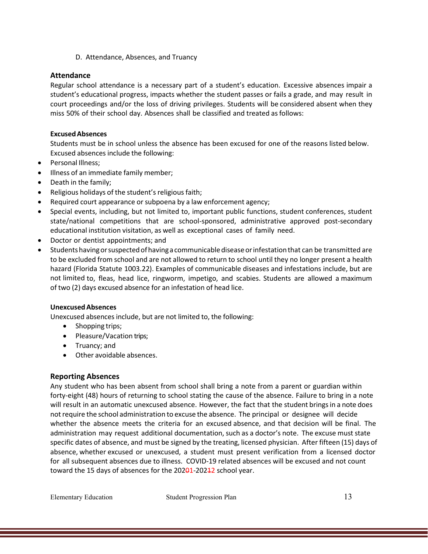D. Attendance, Absences, and Truancy

# **Attendance**

Regular school attendance is a necessary part of a student's education. Excessive absences impair a student's educational progress, impacts whether the student passes or fails a grade, and may result in court proceedings and/or the loss of driving privileges. Students will be considered absent when they miss 50% of their school day. Absences shall be classified and treated asfollows:

### **ExcusedAbsences**

Students must be in school unless the absence has been excused for one of the reasons listed below. Excused absences include the following:

- Personal Illness;
- Illness of an immediate family member;
- Death in the family;
- Religious holidays of the student's religious faith;
- Required court appearance or subpoena by a law enforcement agency;
- Special events, including, but not limited to, important public functions, student conferences, student state/national competitions that are school-sponsored, administrative approved post-secondary educational institution visitation, as well as exceptional cases of family need.
- Doctor or dentist appointments; and
- Studentshavingorsuspectedofhavingacommunicablediseaseorinfestationthat can be transmitted are to be excluded from school and are not allowed to return to school until they no longer present a health hazard (Florida Statute 1003.22). Examples of communicable diseases and infestations include, but are not limited to, fleas, head lice, ringworm, impetigo, and scabies. Students are allowed a maximum of two (2) days excused absence for an infestation of head lice.

## **UnexcusedAbsences**

Unexcused absences include, but are not limited to, the following:

- Shopping trips;
- Pleasure/Vacation trips;
- Truancy; and
- Other avoidable absences.

## **Reporting Absences**

Any student who has been absent from school shall bring a note from a parent or guardian within forty-eight (48) hours of returning to school stating the cause of the absence. Failure to bring in a note will result in an automatic unexcused absence. However, the fact that the student brings in a note does notrequire the school administration to excuse the absence. The principal or designee will decide whether the absence meets the criteria for an excused absence, and that decision will be final. The administration may request additional documentation, such as a doctor's note. The excuse must state specific dates of absence, and must be signed by the treating, licensed physician. After fifteen (15) days of absence, whether excused or unexcused, a student must present verification from a licensed doctor for all subsequent absences due to illness. COVID-19 related absences will be excused and not count toward the 15 days of absences for the  $202\theta$ 1-20242 school year.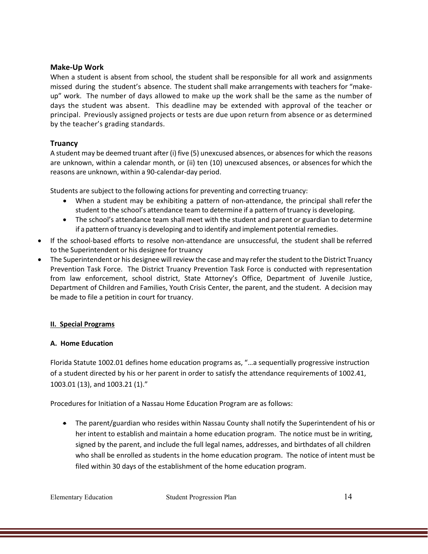### **Make-Up Work**

When a student is absent from school, the student shall be responsible for all work and assignments missed during the student's absence. The student shall make arrangements with teachers for "makeup" work. The number of days allowed to make up the work shall be the same as the number of days the student was absent. This deadline may be extended with approval of the teacher or principal. Previously assigned projects or tests are due upon return from absence or as determined by the teacher's grading standards.

## **Truancy**

A student may be deemed truant after (i) five (5) unexcused absences, or absencesfor which the reasons are unknown, within a calendar month, or (ii) ten (10) unexcused absences, or absences for which the reasons are unknown, within a 90-calendar-day period.

Students are subject to the following actions for preventing and correcting truancy:

- When a student may be exhibiting a pattern of non-attendance, the principal shall refer the student to the school's attendance team to determine if a pattern of truancy is developing.
- The school's attendance team shall meet with the student and parent or guardian to determine if a pattern oftruancy is developing and to identify and implement potential remedies.
- If the school-based efforts to resolve non-attendance are unsuccessful, the student shall be referred to the Superintendent or his designee for truancy
- The Superintendent or his designee will review the case and may refer the student to the District Truancy Prevention Task Force. The District Truancy Prevention Task Force is conducted with representation from law enforcement, school district, State Attorney's Office, Department of Juvenile Justice, Department of Children and Families, Youth Crisis Center, the parent, and the student. A decision may be made to file a petition in court for truancy.

## **II. Special Programs**

## **A. Home Education**

Florida Statute 1002.01 defines home education programs as, "…a sequentially progressive instruction of a student directed by his or her parent in order to satisfy the attendance requirements of 1002.41, 1003.01 (13), and 1003.21 (1)."

Procedures for Initiation of a Nassau Home Education Program are as follows:

• The parent/guardian who resides within Nassau County shall notify the Superintendent of his or her intent to establish and maintain a home education program. The notice must be in writing, signed by the parent, and include the full legal names, addresses, and birthdates of all children who shall be enrolled as students in the home education program. The notice of intent must be filed within 30 days of the establishment of the home education program.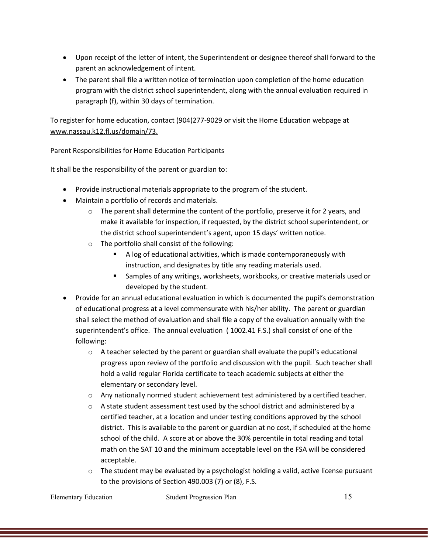- Upon receipt of the letter of intent, the Superintendent or designee thereof shall forward to the parent an acknowledgement of intent.
- The parent shall file a written notice of termination upon completion of the home education program with the district school superintendent, along with the annual evaluation required in paragraph (f), within 30 days of termination.

To register for home education, contact (904)277-9029 or visit the Home Education webpage at [www.nassau.k12.fl.us/](http://www.nassau.k12.fl.us/)domain/73.

Parent Responsibilities for Home Education Participants

It shall be the responsibility of the parent or guardian to:

- Provide instructional materials appropriate to the program of the student.
- Maintain a portfolio of records and materials.
	- $\circ$  The parent shall determine the content of the portfolio, preserve it for 2 years, and make it available for inspection, if requested, by the district school superintendent, or the district school superintendent's agent, upon 15 days' written notice.
	- o The portfolio shall consist of the following:
		- A log of educational activities, which is made contemporaneously with instruction, and designates by title any reading materials used.
		- Samples of any writings, worksheets, workbooks, or creative materials used or developed by the student.
- Provide for an annual educational evaluation in which is documented the pupil's demonstration of educational progress at a level commensurate with his/her ability. The parent or guardian shall select the method of evaluation and shall file a copy of the evaluation annually with the superintendent's office. The annual evaluation ( 1002.41 F.S.) shall consist of one of the following:
	- $\circ$  A teacher selected by the parent or guardian shall evaluate the pupil's educational progress upon review of the portfolio and discussion with the pupil. Such teacher shall hold a valid regular Florida certificate to teach academic subjects at either the elementary or secondary level.
	- $\circ$  Any nationally normed student achievement test administered by a certified teacher.
	- $\circ$  A state student assessment test used by the school district and administered by a certified teacher, at a location and under testing conditions approved by the school district. This is available to the parent or guardian at no cost, if scheduled at the home school of the child. A score at or above the 30% percentile in total reading and total math on the SAT 10 and the minimum acceptable level on the FSA will be considered acceptable.
	- $\circ$  The student may be evaluated by a psychologist holding a valid, active license pursuant to the provisions of Section 490.003 (7) or (8), F.S.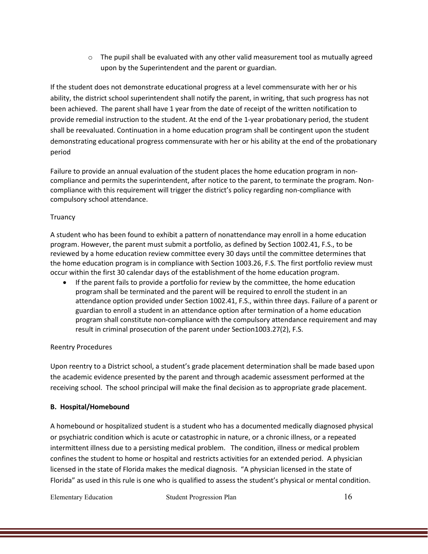$\circ$  The pupil shall be evaluated with any other valid measurement tool as mutually agreed upon by the Superintendent and the parent or guardian.

If the student does not demonstrate educational progress at a level commensurate with her or his ability, the district school superintendent shall notify the parent, in writing, that such progress has not been achieved. The parent shall have 1 year from the date of receipt of the written notification to provide remedial instruction to the student. At the end of the 1-year probationary period, the student shall be reevaluated. Continuation in a home education program shall be contingent upon the student demonstrating educational progress commensurate with her or his ability at the end of the probationary period

Failure to provide an annual evaluation of the student places the home education program in noncompliance and permits the superintendent, after notice to the parent, to terminate the program. Noncompliance with this requirement will trigger the district's policy regarding non-compliance with compulsory school attendance.

### **Truancy**

A student who has been found to exhibit a pattern of nonattendance may enroll in a home education program. However, the parent must submit a portfolio, as defined by Section 1002.41, F.S., to be reviewed by a home education review committee every 30 days until the committee determines that the home education program is in compliance with Section 1003.26, F.S. The first portfolio review must occur within the first 30 calendar days of the establishment of the home education program.

• If the parent fails to provide a portfolio for review by the committee, the home education program shall be terminated and the parent will be required to enroll the student in an attendance option provided under Section 1002.41, F.S., within three days. Failure of a parent or guardian to enroll a student in an attendance option after termination of a home education program shall constitute non-compliance with the compulsory attendance requirement and may result in criminal prosecution of the parent under Section1003.27(2), F.S.

## Reentry Procedures

Upon reentry to a District school, a student's grade placement determination shall be made based upon the academic evidence presented by the parent and through academic assessment performed at the receiving school. The school principal will make the final decision as to appropriate grade placement.

### **B. Hospital/Homebound**

A homebound or hospitalized student is a student who has a documented medically diagnosed physical or psychiatric condition which is acute or catastrophic in nature, or a chronic illness, or a repeated intermittent illness due to a persisting medical problem. The condition, illness or medical problem confines the student to home or hospital and restricts activities for an extended period. A physician licensed in the state of Florida makes the medical diagnosis. "A physician licensed in the state of Florida" as used in this rule is one who is qualified to assess the student's physical or mental condition.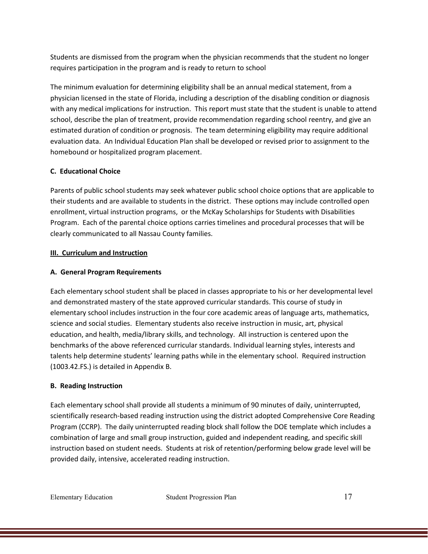Students are dismissed from the program when the physician recommends that the student no longer requires participation in the program and is ready to return to school

The minimum evaluation for determining eligibility shall be an annual medical statement, from a physician licensed in the state of Florida, including a description of the disabling condition or diagnosis with any medical implications for instruction. This report must state that the student is unable to attend school, describe the plan of treatment, provide recommendation regarding school reentry, and give an estimated duration of condition or prognosis. The team determining eligibility may require additional evaluation data. An Individual Education Plan shall be developed or revised prior to assignment to the homebound or hospitalized program placement.

### **C. Educational Choice**

Parents of public school students may seek whatever public school choice options that are applicable to their students and are available to students in the district. These options may include controlled open enrollment, virtual instruction programs, or the McKay Scholarships for Students with Disabilities Program. Each of the parental choice options carries timelines and procedural processes that will be clearly communicated to all Nassau County families.

### **III. Curriculum and Instruction**

### **A. General Program Requirements**

Each elementary school student shall be placed in classes appropriate to his or her developmental level and demonstrated mastery of the state approved curricular standards. This course of study in elementary school includes instruction in the four core academic areas of language arts, mathematics, science and social studies. Elementary students also receive instruction in music, art, physical education, and health, media/library skills, and technology. All instruction is centered upon the benchmarks of the above referenced curricular standards. Individual learning styles, interests and talents help determine students' learning paths while in the elementary school. Required instruction (1003.42.FS.) is detailed in Appendix B.

### **B. Reading Instruction**

Each elementary school shall provide all students a minimum of 90 minutes of daily, uninterrupted, scientifically research-based reading instruction using the district adopted Comprehensive Core Reading Program (CCRP). The daily uninterrupted reading block shall follow the DOE template which includes a combination of large and small group instruction, guided and independent reading, and specific skill instruction based on student needs. Students at risk of retention/performing below grade level will be provided daily, intensive, accelerated reading instruction.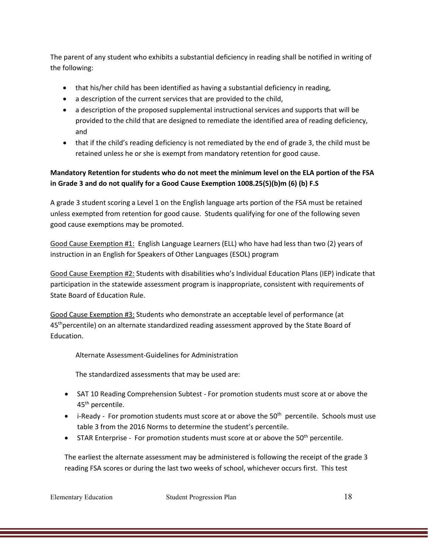The parent of any student who exhibits a substantial deficiency in reading shall be notified in writing of the following:

- that his/her child has been identified as having a substantial deficiency in reading,
- a description of the current services that are provided to the child,
- a description of the proposed supplemental instructional services and supports that will be provided to the child that are designed to remediate the identified area of reading deficiency, and
- that if the child's reading deficiency is not remediated by the end of grade 3, the child must be retained unless he or she is exempt from mandatory retention for good cause.

# **Mandatory Retention for students who do not meet the minimum level on the ELA portion of the FSA in Grade 3 and do not qualify for a Good Cause Exemption 1008.25(5)(b)m (6) (b) F.S**

A grade 3 student scoring a Level 1 on the English language arts portion of the FSA must be retained unless exempted from retention for good cause. Students qualifying for one of the following seven good cause exemptions may be promoted.

Good Cause Exemption #1: English Language Learners (ELL) who have had less than two (2) years of instruction in an English for Speakers of Other Languages (ESOL) program

Good Cause Exemption #2: Students with disabilities who's Individual Education Plans (IEP) indicate that participation in the statewide assessment program is inappropriate, consistent with requirements of State Board of Education Rule.

Good Cause Exemption #3: Students who demonstrate an acceptable level of performance (at 45<sup>th</sup> percentile) on an alternate standardized reading assessment approved by the State Board of Education.

Alternate Assessment-Guidelines for Administration

The standardized assessments that may be used are:

- SAT 10 Reading Comprehension Subtest For promotion students must score at or above the 45<sup>th</sup> percentile.
- $\bullet$  i-Ready For promotion students must score at or above the 50<sup>th</sup> percentile. Schools must use table 3 from the 2016 Norms to determine the student's percentile.
- STAR Enterprise For promotion students must score at or above the 50<sup>th</sup> percentile.

The earliest the alternate assessment may be administered is following the receipt of the grade 3 reading FSA scores or during the last two weeks of school, whichever occurs first. This test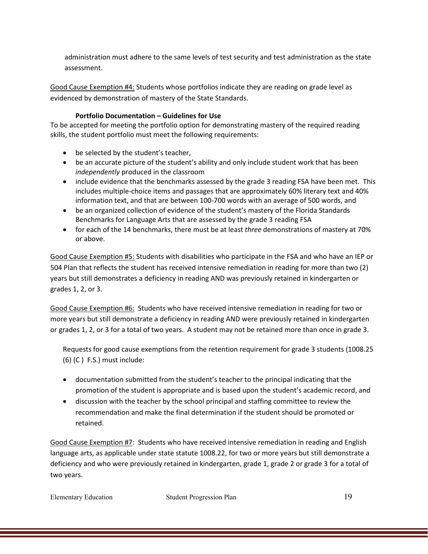administration must adhere to the same levels of test security and test administration as the state assessment.

Good Cause Exemption #4: Students whose portfolios indicate they are reading on grade level as evidenced by demonstration of mastery of the State Standards.

### **Portfolio Documentation – Guidelines for Use**

To be accepted for meeting the portfolio option for demonstrating mastery of the required reading skills, the student portfolio must meet the following requirements:

- be selected by the student's teacher,
- be an accurate picture of the student's ability and only include student work that has been *independently* produced in the classroom
- include evidence that the benchmarks assessed by the grade 3 reading FSA have been met. This includes multiple-choice items and passages that are approximately 60% literary text and 40% information text, and that are between 100-700 words with an average of 500 words, and
- be an organized collection of evidence of the student's mastery of the Florida Standards Benchmarks for Language Arts that are assessed by the grade 3 reading FSA
- for each of the 14 benchmarks, there must be at least *three* demonstrations of mastery at 70% or above.

Good Cause Exemption #5: Students with disabilities who participate in the FSA and who have an IEP or 504 Plan that reflects the student has received intensive remediation in reading for more than two (2) years but still demonstrates a deficiency in reading AND was previously retained in kindergarten or grades 1, 2, or 3.

Good Cause Exemption #6: Students who have received intensive remediation in reading for two or more years but still demonstrate a deficiency in reading AND were previously retained in kindergarten or grades 1, 2, or 3 for a total of two years. A student may not be retained more than once in grade 3.

Requests for good cause exemptions from the retention requirement for grade 3 students (1008.25  $(6)$  (C) F.S.) must include:

- documentation submitted from the student's teacher to the principal indicating that the promotion of the student is appropriate and is based upon the student's academic record, and
- discussion with the teacher by the school principal and staffing committee to review the recommendation and make the final determination if the student should be promoted or retained.

Good Cause Exemption #7: Students who have received intensive remediation in reading and English language arts, as applicable under state statute 1008.22, for two or more years but still demonstrate a deficiency and who were previously retained in kindergarten, grade 1, grade 2 or grade 3 for a total of two years.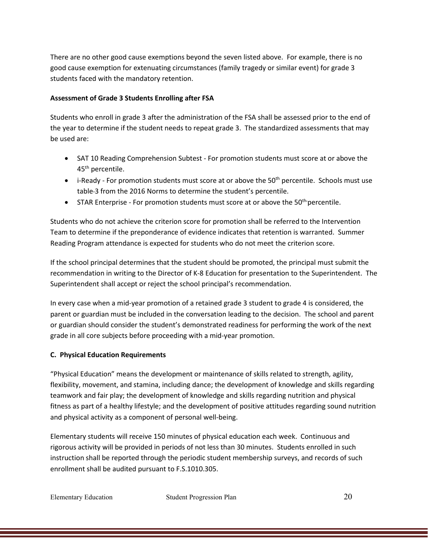There are no other good cause exemptions beyond the seven listed above. For example, there is no good cause exemption for extenuating circumstances (family tragedy or similar event) for grade 3 students faced with the mandatory retention.

### **Assessment of Grade 3 Students Enrolling after FSA**

Students who enroll in grade 3 after the administration of the FSA shall be assessed prior to the end of the year to determine if the student needs to repeat grade 3. The standardized assessments that may be used are:

- SAT 10 Reading Comprehension Subtest For promotion students must score at or above the 45<sup>th</sup> percentile.
- i-Ready For promotion students must score at or above the 50<sup>th</sup> percentile. Schools must use table 3 from the 2016 Norms to determine the student's percentile.
- STAR Enterprise For promotion students must score at or above the  $50<sup>th</sup>$  percentile.

Students who do not achieve the criterion score for promotion shall be referred to the Intervention Team to determine if the preponderance of evidence indicates that retention is warranted. Summer Reading Program attendance is expected for students who do not meet the criterion score.

If the school principal determines that the student should be promoted, the principal must submit the recommendation in writing to the Director of K-8 Education for presentation to the Superintendent. The Superintendent shall accept or reject the school principal's recommendation.

In every case when a mid-year promotion of a retained grade 3 student to grade 4 is considered, the parent or guardian must be included in the conversation leading to the decision. The school and parent or guardian should consider the student's demonstrated readiness for performing the work of the next grade in all core subjects before proceeding with a mid-year promotion.

### **C. Physical Education Requirements**

"Physical Education" means the development or maintenance of skills related to strength, agility, flexibility, movement, and stamina, including dance; the development of knowledge and skills regarding teamwork and fair play; the development of knowledge and skills regarding nutrition and physical fitness as part of a healthy lifestyle; and the development of positive attitudes regarding sound nutrition and physical activity as a component of personal well-being.

Elementary students will receive 150 minutes of physical education each week. Continuous and rigorous activity will be provided in periods of not less than 30 minutes. Students enrolled in such instruction shall be reported through the periodic student membership surveys, and records of such enrollment shall be audited pursuant to F.S.1010.305.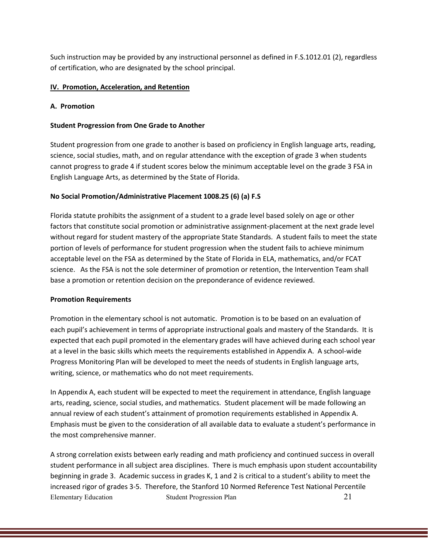Such instruction may be provided by any instructional personnel as defined in F.S.1012.01 (2), regardless of certification, who are designated by the school principal.

### **IV. Promotion, Acceleration, and Retention**

#### **A. Promotion**

### **Student Progression from One Grade to Another**

Student progression from one grade to another is based on proficiency in English language arts, reading, science, social studies, math, and on regular attendance with the exception of grade 3 when students cannot progress to grade 4 if student scores below the minimum acceptable level on the grade 3 FSA in English Language Arts, as determined by the State of Florida.

### **No Social Promotion/Administrative Placement 1008.25 (6) (a) F.S**

Florida statute prohibits the assignment of a student to a grade level based solely on age or other factors that constitute social promotion or administrative assignment-placement at the next grade level without regard for student mastery of the appropriate State Standards. A student fails to meet the state portion of levels of performance for student progression when the student fails to achieve minimum acceptable level on the FSA as determined by the State of Florida in ELA, mathematics, and/or FCAT science. As the FSA is not the sole determiner of promotion or retention, the Intervention Team shall base a promotion or retention decision on the preponderance of evidence reviewed.

#### **Promotion Requirements**

Promotion in the elementary school is not automatic. Promotion is to be based on an evaluation of each pupil's achievement in terms of appropriate instructional goals and mastery of the Standards. It is expected that each pupil promoted in the elementary grades will have achieved during each school year at a level in the basic skills which meets the requirements established in Appendix A. A school-wide Progress Monitoring Plan will be developed to meet the needs of students in English language arts, writing, science, or mathematics who do not meet requirements.

In Appendix A, each student will be expected to meet the requirement in attendance, English language arts, reading, science, social studies, and mathematics. Student placement will be made following an annual review of each student's attainment of promotion requirements established in Appendix A. Emphasis must be given to the consideration of all available data to evaluate a student's performance in the most comprehensive manner.

Elementary Education Student Progression Plan 21 A strong correlation exists between early reading and math proficiency and continued success in overall student performance in all subject area disciplines. There is much emphasis upon student accountability beginning in grade 3. Academic success in grades K, 1 and 2 is critical to a student's ability to meet the increased rigor of grades 3-5. Therefore, the Stanford 10 Normed Reference Test National Percentile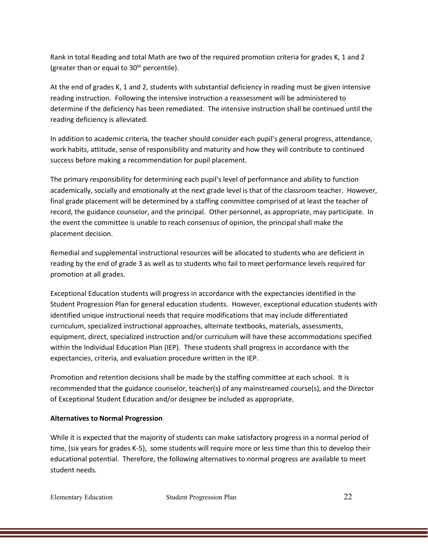Rank in total Reading and total Math are two of the required promotion criteria for grades K, 1 and 2 (greater than or equal to  $30<sup>th</sup>$  percentile).

At the end of grades K, 1 and 2, students with substantial deficiency in reading must be given intensive reading instruction. Following the intensive instruction a reassessment will be administered to determine if the deficiency has been remediated. The intensive instruction shall be continued until the reading deficiency is alleviated.

In addition to academic criteria, the teacher should consider each pupil's general progress, attendance, work habits, attitude, sense of responsibility and maturity and how they will contribute to continued success before making a recommendation for pupil placement.

The primary responsibility for determining each pupil's level of performance and ability to function academically, socially and emotionally at the next grade level is that of the classroom teacher. However, final grade placement will be determined by a staffing committee comprised of at least the teacher of record, the guidance counselor, and the principal. Other personnel, as appropriate, may participate. In the event the committee is unable to reach consensus of opinion, the principal shall make the placement decision.

Remedial and supplemental instructional resources will be allocated to students who are deficient in reading by the end of grade 3 as well as to students who fail to meet performance levels required for promotion at all grades.

Exceptional Education students will progress in accordance with the expectancies identified in the Student Progression Plan for general education students. However, exceptional education students with identified unique instructional needs that require modifications that may include differentiated curriculum, specialized instructional approaches, alternate textbooks, materials, assessments, equipment, direct, specialized instruction and/or curriculum will have these accommodations specified within the Individual Education Plan (IEP). These students shall progress in accordance with the expectancies, criteria, and evaluation procedure written in the IEP.

Promotion and retention decisions shall be made by the staffing committee at each school. It is recommended that the guidance counselor, teacher(s) of any mainstreamed course(s), and the Director of Exceptional Student Education and/or designee be included as appropriate.

### **Alternatives to Normal Progression**

While it is expected that the majority of students can make satisfactory progress in a normal period of time, (six years for grades K-5), some students will require more or less time than this to develop their educational potential. Therefore, the following alternatives to normal progress are available to meet student needs.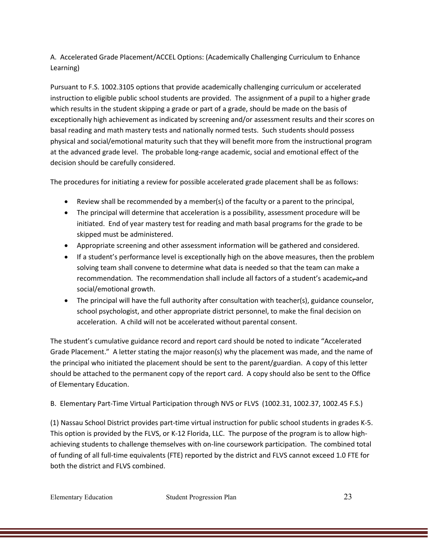A. Accelerated Grade Placement/ACCEL Options: (Academically Challenging Curriculum to Enhance Learning)

Pursuant to F.S. 1002.3105 options that provide academically challenging curriculum or accelerated instruction to eligible public school students are provided. The assignment of a pupil to a higher grade which results in the student skipping a grade or part of a grade, should be made on the basis of exceptionally high achievement as indicated by screening and/or assessment results and their scores on basal reading and math mastery tests and nationally normed tests. Such students should possess physical and social/emotional maturity such that they will benefit more from the instructional program at the advanced grade level. The probable long-range academic, social and emotional effect of the decision should be carefully considered.

The procedures for initiating a review for possible accelerated grade placement shall be as follows:

- Review shall be recommended by a member(s) of the faculty or a parent to the principal,
- The principal will determine that acceleration is a possibility, assessment procedure will be initiated. End of year mastery test for reading and math basal programs for the grade to be skipped must be administered.
- Appropriate screening and other assessment information will be gathered and considered.
- If a student's performance level is exceptionally high on the above measures, then the problem solving team shall convene to determine what data is needed so that the team can make a recommendation. The recommendation shall include all factors of a student's academic<sub>r</sub>-and social/emotional growth.
- The principal will have the full authority after consultation with teacher(s), guidance counselor, school psychologist, and other appropriate district personnel, to make the final decision on acceleration. A child will not be accelerated without parental consent.

The student's cumulative guidance record and report card should be noted to indicate "Accelerated Grade Placement." A letter stating the major reason(s) why the placement was made, and the name of the principal who initiated the placement should be sent to the parent/guardian. A copy of this letter should be attached to the permanent copy of the report card. A copy should also be sent to the Office of Elementary Education.

B. Elementary Part-Time Virtual Participation through NVS or FLVS (1002.31, 1002.37, 1002.45 F.S.)

(1) Nassau School District provides part-time virtual instruction for public school students in grades K-5. This option is provided by the FLVS, or K-12 Florida, LLC. The purpose of the program is to allow highachieving students to challenge themselves with on-line coursework participation. The combined total of funding of all full-time equivalents (FTE) reported by the district and FLVS cannot exceed 1.0 FTE for both the district and FLVS combined.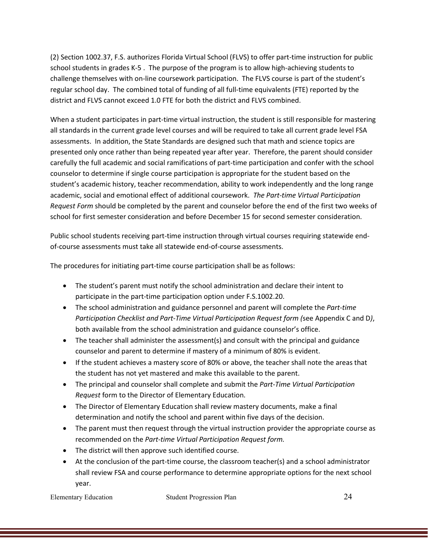(2) Section 1002.37, F.S. authorizes Florida Virtual School (FLVS) to offer part-time instruction for public school students in grades K-5 . The purpose of the program is to allow high-achieving students to challenge themselves with on-line coursework participation. The FLVS course is part of the student's regular school day. The combined total of funding of all full-time equivalents (FTE) reported by the district and FLVS cannot exceed 1.0 FTE for both the district and FLVS combined.

When a student participates in part-time virtual instruction, the student is still responsible for mastering all standards in the current grade level courses and will be required to take all current grade level FSA assessments. In addition, the State Standards are designed such that math and science topics are presented only once rather than being repeated year after year. Therefore, the parent should consider carefully the full academic and social ramifications of part-time participation and confer with the school counselor to determine if single course participation is appropriate for the student based on the student's academic history, teacher recommendation, ability to work independently and the long range academic, social and emotional effect of additional coursework. *The Part-time Virtual Participation Request Form* should be completed by the parent and counselor before the end of the first two weeks of school for first semester consideration and before December 15 for second semester consideration.

Public school students receiving part-time instruction through virtual courses requiring statewide endof-course assessments must take all statewide end-of-course assessments.

The procedures for initiating part-time course participation shall be as follows:

- The student's parent must notify the school administration and declare their intent to participate in the part-time participation option under F.S.1002.20.
- The school administration and guidance personnel and parent will complete the *Part-time Participation Checklist and Part-Time Virtual Participation Request form (*see Appendix C and D*)*, both available from the school administration and guidance counselor's office.
- The teacher shall administer the assessment(s) and consult with the principal and guidance counselor and parent to determine if mastery of a minimum of 80% is evident.
- If the student achieves a mastery score of 80% or above, the teacher shall note the areas that the student has not yet mastered and make this available to the parent.
- The principal and counselor shall complete and submit the *Part-Time Virtual Participation Request* form to the Director of Elementary Education.
- The Director of Elementary Education shall review mastery documents, make a final determination and notify the school and parent within five days of the decision.
- The parent must then request through the virtual instruction provider the appropriate course as recommended on the *Part-time Virtual Participation Request form.*
- The district will then approve such identified course.
- At the conclusion of the part-time course, the classroom teacher(s) and a school administrator shall review FSA and course performance to determine appropriate options for the next school year.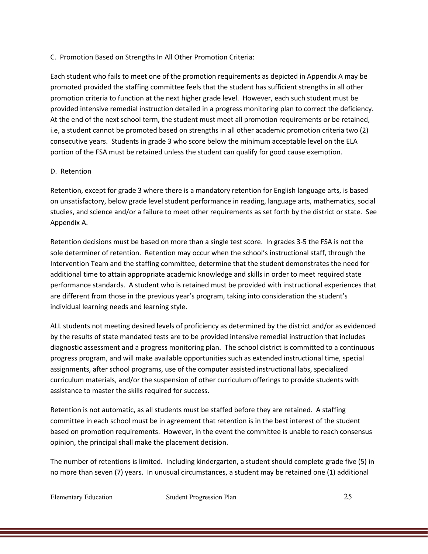C. Promotion Based on Strengths In All Other Promotion Criteria:

Each student who fails to meet one of the promotion requirements as depicted in Appendix A may be promoted provided the staffing committee feels that the student has sufficient strengths in all other promotion criteria to function at the next higher grade level. However, each such student must be provided intensive remedial instruction detailed in a progress monitoring plan to correct the deficiency. At the end of the next school term, the student must meet all promotion requirements or be retained, i.e, a student cannot be promoted based on strengths in all other academic promotion criteria two (2) consecutive years. Students in grade 3 who score below the minimum acceptable level on the ELA portion of the FSA must be retained unless the student can qualify for good cause exemption.

### D. Retention

Retention, except for grade 3 where there is a mandatory retention for English language arts, is based on unsatisfactory, below grade level student performance in reading, language arts, mathematics, social studies, and science and/or a failure to meet other requirements as set forth by the district or state. See Appendix A.

Retention decisions must be based on more than a single test score. In grades 3-5 the FSA is not the sole determiner of retention. Retention may occur when the school's instructional staff, through the Intervention Team and the staffing committee, determine that the student demonstrates the need for additional time to attain appropriate academic knowledge and skills in order to meet required state performance standards. A student who is retained must be provided with instructional experiences that are different from those in the previous year's program, taking into consideration the student's individual learning needs and learning style.

ALL students not meeting desired levels of proficiency as determined by the district and/or as evidenced by the results of state mandated tests are to be provided intensive remedial instruction that includes diagnostic assessment and a progress monitoring plan. The school district is committed to a continuous progress program, and will make available opportunities such as extended instructional time, special assignments, after school programs, use of the computer assisted instructional labs, specialized curriculum materials, and/or the suspension of other curriculum offerings to provide students with assistance to master the skills required for success.

Retention is not automatic, as all students must be staffed before they are retained. A staffing committee in each school must be in agreement that retention is in the best interest of the student based on promotion requirements. However, in the event the committee is unable to reach consensus opinion, the principal shall make the placement decision.

The number of retentions is limited. Including kindergarten, a student should complete grade five (5) in no more than seven (7) years. In unusual circumstances, a student may be retained one (1) additional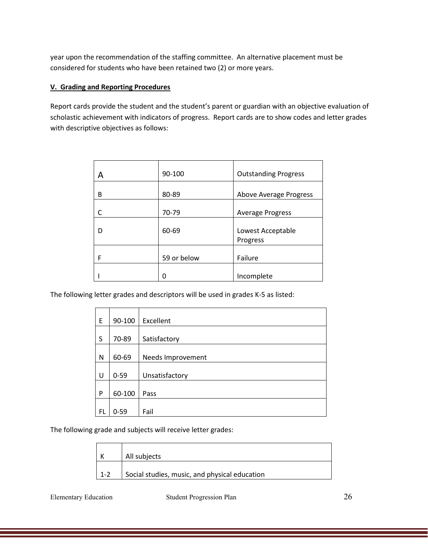year upon the recommendation of the staffing committee. An alternative placement must be considered for students who have been retained two (2) or more years.

### **V. Grading and Reporting Procedures**

Report cards provide the student and the student's parent or guardian with an objective evaluation of scholastic achievement with indicators of progress. Report cards are to show codes and letter grades with descriptive objectives as follows:

| А | 90-100      | <b>Outstanding Progress</b> |
|---|-------------|-----------------------------|
| В | 80-89       | Above Average Progress      |
|   | 70-79       | <b>Average Progress</b>     |
| D | 60-69       | Lowest Acceptable           |
|   |             | Progress                    |
| F | 59 or below |                             |
|   |             | Failure                     |
|   |             |                             |
|   | Ω           | Incomplete                  |

The following letter grades and descriptors will be used in grades K-5 as listed:

| E  | 90-100   | Excellent         |
|----|----------|-------------------|
|    |          |                   |
| S  | 70-89    | Satisfactory      |
|    |          |                   |
| N  | 60-69    | Needs Improvement |
|    |          |                   |
| U  | $0 - 59$ | Unsatisfactory    |
|    |          |                   |
| P  | 60-100   | Pass              |
|    |          |                   |
| FL | $0 - 59$ | Fail              |

The following grade and subjects will receive letter grades:

|         | All subjects                                  |
|---------|-----------------------------------------------|
| $1 - 2$ | Social studies, music, and physical education |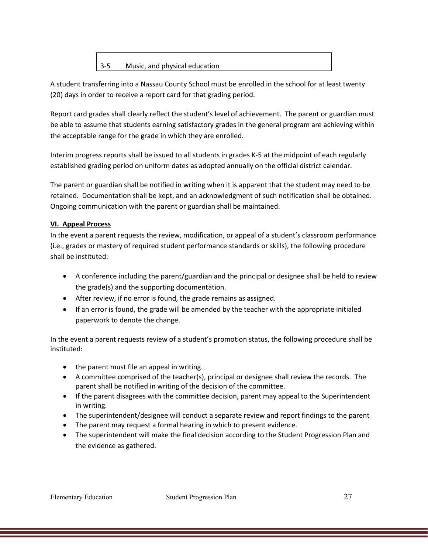| $3-5$ | Music, and physical education |
|-------|-------------------------------|

A student transferring into a Nassau County School must be enrolled in the school for at least twenty (20) days in order to receive a report card for that grading period.

Report card grades shall clearly reflect the student's level of achievement. The parent or guardian must be able to assume that students earning satisfactory grades in the general program are achieving within the acceptable range for the grade in which they are enrolled.

Interim progress reports shall be issued to all students in grades K-5 at the midpoint of each regularly established grading period on uniform dates as adopted annually on the official district calendar.

The parent or guardian shall be notified in writing when it is apparent that the student may need to be retained. Documentation shall be kept, and an acknowledgment of such notification shall be obtained. Ongoing communication with the parent or guardian shall be maintained.

## **VI. Appeal Process**

In the event a parent requests the review, modification, or appeal of a student's classroom performance (i.e., grades or mastery of required student performance standards or skills), the following procedure shall be instituted:

- A conference including the parent/guardian and the principal or designee shall be held to review the grade(s) and the supporting documentation.
- After review, if no error is found, the grade remains as assigned.
- If an error is found, the grade will be amended by the teacher with the appropriate initialed paperwork to denote the change.

In the event a parent requests review of a student's promotion status, the following procedure shall be instituted:

- the parent must file an appeal in writing.
- A committee comprised of the teacher(s), principal or designee shall review the records. The parent shall be notified in writing of the decision of the committee.
- If the parent disagrees with the committee decision, parent may appeal to the Superintendent in writing.
- The superintendent/designee will conduct a separate review and report findings to the parent
- The parent may request a formal hearing in which to present evidence.
- The superintendent will make the final decision according to the Student Progression Plan and the evidence as gathered.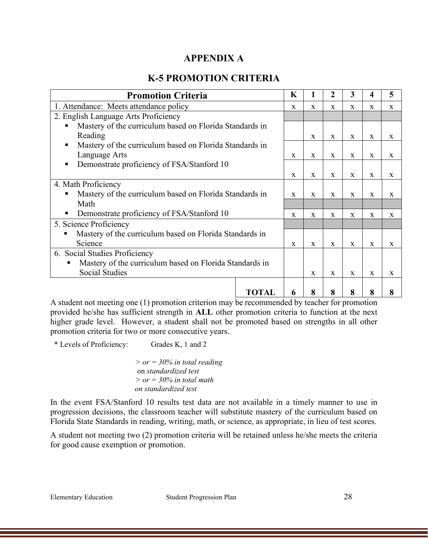# **APPENDIX A**

# **K-5 PROMOTION CRITERIA**

| <b>Promotion Criteria</b>                                    |              | K            | 1            | 2            | 3            | 4            | 5            |
|--------------------------------------------------------------|--------------|--------------|--------------|--------------|--------------|--------------|--------------|
| 1. Attendance: Meets attendance policy                       |              | X            | X            | X            | X            | $\mathbf{x}$ | $\mathbf X$  |
| 2. English Language Arts Proficiency                         |              |              |              |              |              |              |              |
| Mastery of the curriculum based on Florida Standards in      |              |              |              |              |              |              |              |
| Reading                                                      |              |              | X            | X            | X            | X            | X            |
| Mastery of the curriculum based on Florida Standards in<br>٠ |              |              |              |              |              |              |              |
| Language Arts                                                |              | $\mathbf{x}$ | X            | X            | X            | X            | X            |
| Demonstrate proficiency of FSA/Stanford 10<br>п              |              |              |              |              |              |              |              |
|                                                              |              | $\mathbf{x}$ | $\mathbf{x}$ | $\mathbf{x}$ | X            | X            | X            |
| 4. Math Proficiency                                          |              |              |              |              |              |              |              |
| Mastery of the curriculum based on Florida Standards in      |              | X            | X            | X            | X            | X            | X            |
| Math                                                         |              |              |              |              |              |              |              |
| Demonstrate proficiency of FSA/Stanford 10<br>п              |              | $\mathbf{x}$ | $\mathbf X$  | X            | X            | X            | $\mathbf X$  |
| 5. Science Proficiency                                       |              |              |              |              |              |              |              |
| Mastery of the curriculum based on Florida Standards in      |              |              |              |              |              |              |              |
| Science                                                      |              | $\mathbf{x}$ | $\mathbf{x}$ | $\mathbf{x}$ | $\mathbf{x}$ | X            | $\mathbf{x}$ |
| 6. Social Studies Proficiency                                |              |              |              |              |              |              |              |
| Mastery of the curriculum based on Florida Standards in<br>п |              |              |              |              |              |              |              |
| <b>Social Studies</b>                                        |              |              | $\mathbf{x}$ | $\mathbf{X}$ | $\mathbf{x}$ | X            | X            |
|                                                              |              |              |              |              |              |              |              |
|                                                              | <b>TOTAL</b> | 6            | 8            | 8            | 8            | 8            | 8            |

A student not meeting one (1) promotion criterion may be recommended by teacher for promotion provided he/she has sufficient strength in **ALL** other promotion criteria to function at the next higher grade level. However, a student shall not be promoted based on strengths in all other promotion criteria for two or more consecutive years.

\* Levels of Proficiency: Grades K, 1 and 2

 *> or = 30% in total reading* on *standardized test > or = 30% in total math on standardized test*

In the event FSA/Stanford 10 results test data are not available in a timely manner to use in progression decisions, the classroom teacher will substitute mastery of the curriculum based on Florida State Standards in reading, writing, math, or science, as appropriate, in lieu of test scores.

A student not meeting two (2) promotion criteria will be retained unless he/she meets the criteria for good cause exemption or promotion.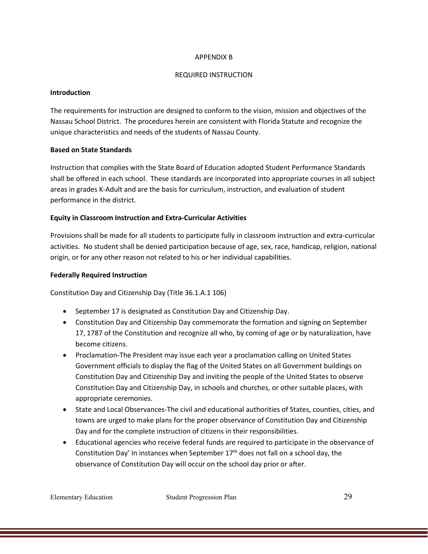#### APPENDIX B

### REQUIRED INSTRUCTION

### **Introduction**

The requirements for instruction are designed to conform to the vision, mission and objectives of the Nassau School District. The procedures herein are consistent with Florida Statute and recognize the unique characteristics and needs of the students of Nassau County.

### **Based on State Standards**

Instruction that complies with the State Board of Education adopted Student Performance Standards shall be offered in each school. These standards are incorporated into appropriate courses in all subject areas in grades K-Adult and are the basis for curriculum, instruction, and evaluation of student performance in the district.

### **Equity in Classroom Instruction and Extra-Curricular Activities**

Provisions shall be made for all students to participate fully in classroom instruction and extra-curricular activities. No student shall be denied participation because of age, sex, race, handicap, religion, national origin, or for any other reason not related to his or her individual capabilities.

### **Federally Required Instruction**

Constitution Day and Citizenship Day (Title 36.1.A.1 106)

- September 17 is designated as Constitution Day and Citizenship Day.
- Constitution Day and Citizenship Day commemorate the formation and signing on September 17, 1787 of the Constitution and recognize all who, by coming of age or by naturalization, have become citizens.
- Proclamation-The President may issue each year a proclamation calling on United States Government officials to display the flag of the United States on all Government buildings on Constitution Day and Citizenship Day and inviting the people of the United States to observe Constitution Day and Citizenship Day, in schools and churches, or other suitable places, with appropriate ceremonies.
- State and Local Observances-The civil and educational authorities of States, counties, cities, and towns are urged to make plans for the proper observance of Constitution Day and Citizenship Day and for the complete instruction of citizens in their responsibilities.
- Educational agencies who receive federal funds are required to participate in the observance of Constitution Day' In instances when September  $17<sup>th</sup>$  does not fall on a school day, the observance of Constitution Day will occur on the school day prior or after.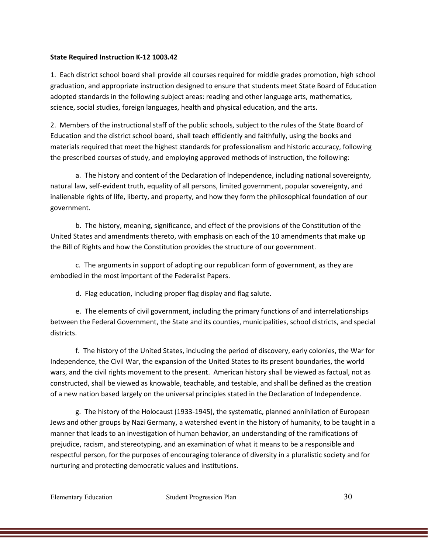### **State Required Instruction K-12 1003.42**

1. Each district school board shall provide all courses required for middle grades promotion, high school graduation, and appropriate instruction designed to ensure that students meet State Board of Education adopted standards in the following subject areas: reading and other language arts, mathematics, science, social studies, foreign languages, health and physical education, and the arts.

2. Members of the instructional staff of the public schools, subject to the rules of the State Board of Education and the district school board, shall teach efficiently and faithfully, using the books and materials required that meet the highest standards for professionalism and historic accuracy, following the prescribed courses of study, and employing approved methods of instruction, the following:

a. The history and content of the Declaration of Independence, including national sovereignty, natural law, self-evident truth, equality of all persons, limited government, popular sovereignty, and inalienable rights of life, liberty, and property, and how they form the philosophical foundation of our government.

b. The history, meaning, significance, and effect of the provisions of the Constitution of the United States and amendments thereto, with emphasis on each of the 10 amendments that make up the Bill of Rights and how the Constitution provides the structure of our government.

c. The arguments in support of adopting our republican form of government, as they are embodied in the most important of the Federalist Papers.

d. Flag education, including proper flag display and flag salute.

e. The elements of civil government, including the primary functions of and interrelationships between the Federal Government, the State and its counties, municipalities, school districts, and special districts.

f. The history of the United States, including the period of discovery, early colonies, the War for Independence, the Civil War, the expansion of the United States to its present boundaries, the world wars, and the civil rights movement to the present. American history shall be viewed as factual, not as constructed, shall be viewed as knowable, teachable, and testable, and shall be defined as the creation of a new nation based largely on the universal principles stated in the Declaration of Independence.

g. The history of the Holocaust (1933-1945), the systematic, planned annihilation of European Jews and other groups by Nazi Germany, a watershed event in the history of humanity, to be taught in a manner that leads to an investigation of human behavior, an understanding of the ramifications of prejudice, racism, and stereotyping, and an examination of what it means to be a responsible and respectful person, for the purposes of encouraging tolerance of diversity in a pluralistic society and for nurturing and protecting democratic values and institutions.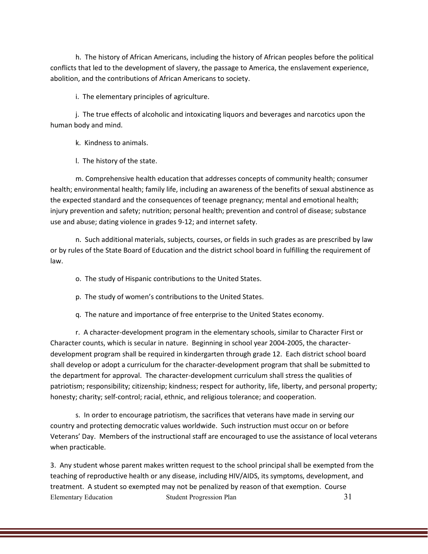h. The history of African Americans, including the history of African peoples before the political conflicts that led to the development of slavery, the passage to America, the enslavement experience, abolition, and the contributions of African Americans to society.

i. The elementary principles of agriculture.

j. The true effects of alcoholic and intoxicating liquors and beverages and narcotics upon the human body and mind.

k. Kindness to animals.

l. The history of the state.

m. Comprehensive health education that addresses concepts of community health; consumer health; environmental health; family life, including an awareness of the benefits of sexual abstinence as the expected standard and the consequences of teenage pregnancy; mental and emotional health; injury prevention and safety; nutrition; personal health; prevention and control of disease; substance use and abuse; dating violence in grades 9-12; and internet safety.

n. Such additional materials, subjects, courses, or fields in such grades as are prescribed by law or by rules of the State Board of Education and the district school board in fulfilling the requirement of law.

o. The study of Hispanic contributions to the United States.

p. The study of women's contributions to the United States.

q. The nature and importance of free enterprise to the United States economy.

r. A character-development program in the elementary schools, similar to Character First or Character counts, which is secular in nature. Beginning in school year 2004-2005, the characterdevelopment program shall be required in kindergarten through grade 12. Each district school board shall develop or adopt a curriculum for the character-development program that shall be submitted to the department for approval. The character-development curriculum shall stress the qualities of patriotism; responsibility; citizenship; kindness; respect for authority, life, liberty, and personal property; honesty; charity; self-control; racial, ethnic, and religious tolerance; and cooperation.

s. In order to encourage patriotism, the sacrifices that veterans have made in serving our country and protecting democratic values worldwide. Such instruction must occur on or before Veterans' Day. Members of the instructional staff are encouraged to use the assistance of local veterans when practicable.

Elementary Education Student Progression Plan 31 3. Any student whose parent makes written request to the school principal shall be exempted from the teaching of reproductive health or any disease, including HIV/AIDS, its symptoms, development, and treatment. A student so exempted may not be penalized by reason of that exemption. Course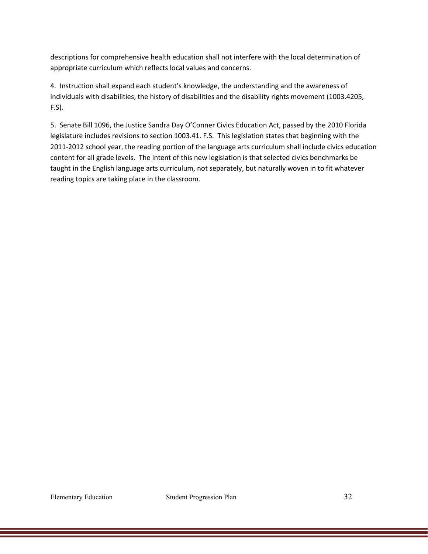descriptions for comprehensive health education shall not interfere with the local determination of appropriate curriculum which reflects local values and concerns.

4. Instruction shall expand each student's knowledge, the understanding and the awareness of individuals with disabilities, the history of disabilities and the disability rights movement (1003.4205, F.S).

5. Senate Bill 1096, the Justice Sandra Day O'Conner Civics Education Act, passed by the 2010 Florida legislature includes revisions to section 1003.41. F.S. This legislation states that beginning with the 2011-2012 school year, the reading portion of the language arts curriculum shall include civics education content for all grade levels. The intent of this new legislation is that selected civics benchmarks be taught in the English language arts curriculum, not separately, but naturally woven in to fit whatever reading topics are taking place in the classroom.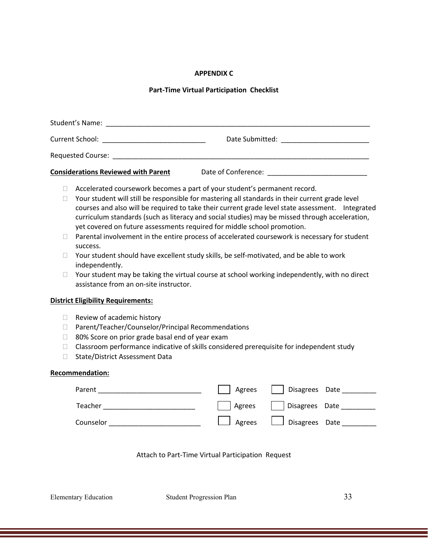### **APPENDIX C**

### **Part-Time Virtual Participation Checklist**

| Student's Name:                            |                     |
|--------------------------------------------|---------------------|
| Current School:                            | Date Submitted:     |
| <b>Requested Course:</b>                   |                     |
| <b>Considerations Reviewed with Parent</b> | Date of Conference: |

- □ Accelerated coursework becomes a part of your student's permanent record.
- $\Box$  Your student will still be responsible for mastering all standards in their current grade level courses and also will be required to take their current grade level state assessment. Integrated curriculum standards (such as literacy and social studies) may be missed through acceleration, yet covered on future assessments required for middle school promotion.
- $\Box$  Parental involvement in the entire process of accelerated coursework is necessary for student success.
- $\Box$  Your student should have excellent study skills, be self-motivated, and be able to work independently.
- $\Box$  Your student may be taking the virtual course at school working independently, with no direct assistance from an on-site instructor.

#### **District Eligibility Requirements:**

- $\Box$  Review of academic history
- □ Parent/Teacher/Counselor/Principal Recommendations
- $\Box$  80% Score on prior grade basal end of year exam
- $\Box$  Classroom performance indicative of skills considered prerequisite for independent study
- □ State/District Assessment Data

#### **Recommendation:**

| Parent    | Agrees | Disagrees Date          |
|-----------|--------|-------------------------|
| Teacher   | Agrees | Disagrees Date          |
| Counselor |        | Agrees   Disagrees Date |

#### Attach to Part-Time Virtual Participation Request